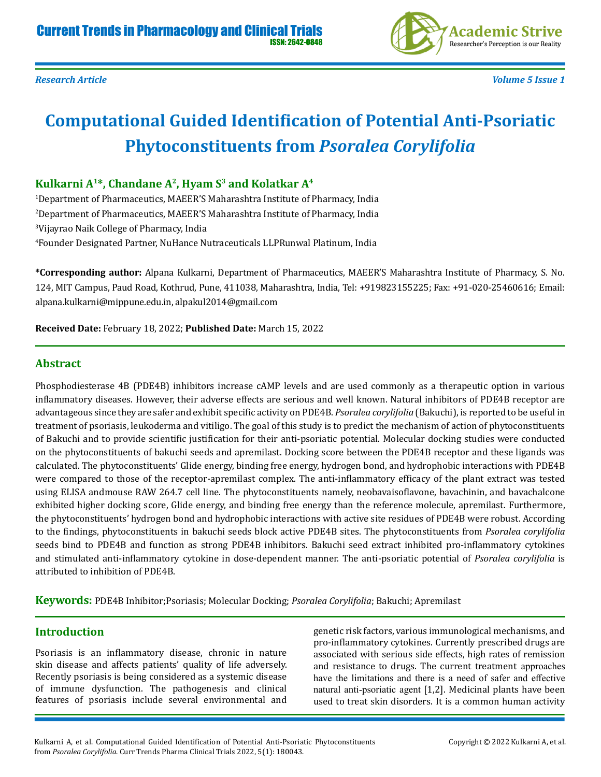

# **Computational Guided Identification of Potential Anti-Psoriatic Phytoconstituents from** *Psoralea Corylifolia*

## **Kulkarni A<sup>1</sup>\*, Chandane A<sup>2</sup>, Hyam S<sup>3</sup> and Kolatkar A<sup>4</sup>**

 Department of Pharmaceutics, MAEER'S Maharashtra Institute of Pharmacy, India Department of Pharmaceutics, MAEER'S Maharashtra Institute of Pharmacy, India Vijayrao Naik College of Pharmacy, India Founder Designated Partner, NuHance Nutraceuticals LLPRunwal Platinum, India

**\*Corresponding author:** Alpana Kulkarni, Department of Pharmaceutics, MAEER'S Maharashtra Institute of Pharmacy, S. No. 124, MIT Campus, Paud Road, Kothrud, Pune, 411038, Maharashtra, India, Tel: +919823155225; Fax: +91-020-25460616; Email: alpana.kulkarni@mippune.edu.in, alpakul2014@gmail.com

**Received Date:** February 18, 2022; **Published Date:** March 15, 2022

### **Abstract**

Phosphodiesterase 4B (PDE4B) inhibitors increase cAMP levels and are used commonly as a therapeutic option in various inflammatory diseases. However, their adverse effects are serious and well known. Natural inhibitors of PDE4B receptor are advantageous since they are safer and exhibit specific activity on PDE4B. *Psoralea corylifolia* (Bakuchi), is reported to be useful in treatment of psoriasis, leukoderma and vitiligo. The goal of this study is to predict the mechanism of action of phytoconstituents of Bakuchi and to provide scientific justification for their anti-psoriatic potential. Molecular docking studies were conducted on the phytoconstituents of bakuchi seeds and apremilast. Docking score between the PDE4B receptor and these ligands was calculated. The phytoconstituents' Glide energy, binding free energy, hydrogen bond, and hydrophobic interactions with PDE4B were compared to those of the receptor-apremilast complex. The anti-inflammatory efficacy of the plant extract was tested using ELISA andmouse RAW 264.7 cell line. The phytoconstituents namely, neobavaisoflavone, bavachinin, and bavachalcone exhibited higher docking score, Glide energy, and binding free energy than the reference molecule, apremilast. Furthermore, the phytoconstituents' hydrogen bond and hydrophobic interactions with active site residues of PDE4B were robust. According to the findings, phytoconstituents in bakuchi seeds block active PDE4B sites. The phytoconstituents from *Psoralea corylifolia* seeds bind to PDE4B and function as strong PDE4B inhibitors. Bakuchi seed extract inhibited pro-inflammatory cytokines and stimulated anti-inflammatory cytokine in dose-dependent manner. The anti-psoriatic potential of *Psoralea corylifolia* is attributed to inhibition of PDE4B.

**Keywords:** PDE4B Inhibitor;Psoriasis; Molecular Docking; *Psoralea Corylifolia*; Bakuchi; Apremilast

#### **Introduction**

Psoriasis is an inflammatory disease, chronic in nature skin disease and affects patients' quality of life adversely. Recently psoriasis is being considered as a systemic disease of immune dysfunction. The pathogenesis and clinical features of psoriasis include several environmental and

genetic risk factors, various immunological mechanisms, and pro-inflammatory cytokines. Currently prescribed drugs are associated with serious side effects, high rates of remission and resistance to drugs. The current treatment approaches have the limitations and there is a need of safer and effective natural anti-psoriatic agent [1,2]. Medicinal plants have been used to treat skin disorders. It is a common human activity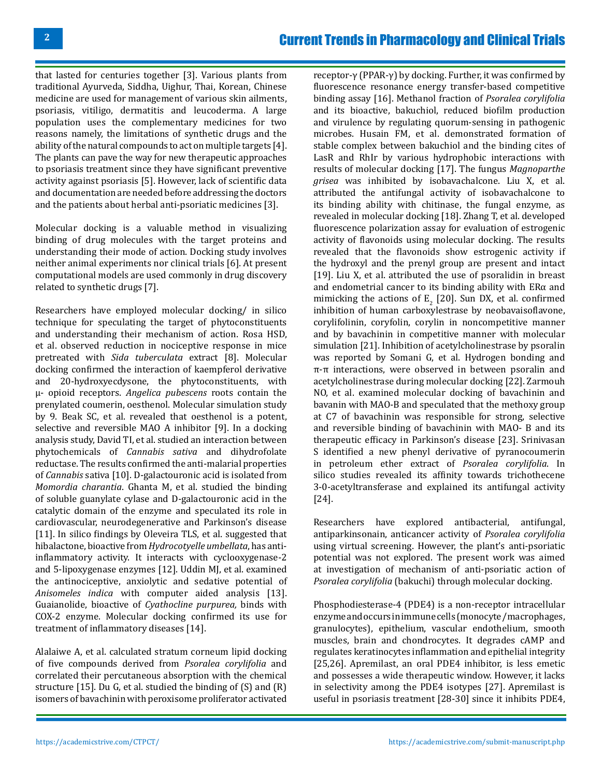that lasted for centuries together [3]. Various plants from traditional Ayurveda, Siddha, Uighur, Thai, Korean, Chinese medicine are used for management of various skin ailments, psoriasis, vitiligo, dermatitis and leucoderma. A large population uses the complementary medicines for two reasons namely, the limitations of synthetic drugs and the ability of the natural compounds to act on multiple targets [4]. The plants can pave the way for new therapeutic approaches to psoriasis treatment since they have significant preventive activity against psoriasis [5]. However, lack of scientific data and documentation are needed before addressing the doctors and the patients about herbal anti-psoriatic medicines [3].

Molecular docking is a valuable method in visualizing binding of drug molecules with the target proteins and understanding their mode of action. Docking study involves neither animal experiments nor clinical trials [6]. At present computational models are used commonly in drug discovery related to synthetic drugs [7].

Researchers have employed molecular docking/ in silico technique for speculating the target of phytoconstituents and understanding their mechanism of action. Rosa HSD, et al. observed reduction in nociceptive response in mice pretreated with *Sida tuberculata* extract [8]. Molecular docking confirmed the interaction of kaempferol derivative and 20-hydroxyecdysone, the phytoconstituents, with µ- opioid receptors. *Angelica pubescens* roots contain the prenylated coumerin, oesthenol. Molecular simulation study by 9. Beak SC, et al. revealed that oesthenol is a potent, selective and reversible MAO A inhibitor [9]. In a docking analysis study, David TI, et al. studied an interaction between phytochemicals of *Cannabis sativa* and dihydrofolate reductase. The results confirmed the anti-malarial properties of *Cannabis* sativa [10]. D-galactouronic acid is isolated from *Momordia charantia*. Ghanta M, et al. studied the binding of soluble guanylate cylase and D-galactouronic acid in the catalytic domain of the enzyme and speculated its role in cardiovascular, neurodegenerative and Parkinson's disease [11]. In silico findings by Oleveira TLS, et al. suggested that hibalactone, bioactive from *Hydrocotyelle umbellata*, has antiinflammatory activity. It interacts with cyclooxygenase-2 and 5-lipoxygenase enzymes [12]. Uddin MJ, et al. examined the antinociceptive, anxiolytic and sedative potential of *Anisomeles indica* with computer aided analysis [13]. Guaianolide, bioactive of *Cyathocline purpurea,* binds with COX-2 enzyme. Molecular docking confirmed its use for treatment of inflammatory diseases [14].

Alalaiwe A, et al. calculated stratum corneum lipid docking of five compounds derived from *Psoralea corylifolia* and correlated their percutaneous absorption with the chemical structure [15]. Du G, et al. studied the binding of (S) and (R) isomers of bavachinin with peroxisome proliferator activated

receptor-γ (PPAR-γ) by docking. Further, it was confirmed by fluorescence resonance energy transfer-based competitive binding assay [16]. Methanol fraction of *Psoralea corylifolia* and its bioactive, bakuchiol, reduced biofilm production and virulence by regulating quorum-sensing in pathogenic microbes. Husain FM, et al. demonstrated formation of stable complex between bakuchiol and the binding cites of LasR and RhIr by various hydrophobic interactions with results of molecular docking [17]. The fungus *Magnoparthe grisea* was inhibited by isobavachalcone. Liu X, et al. attributed the antifungal activity of isobavachalcone to its binding ability with chitinase, the fungal enzyme, as revealed in molecular docking [18]. Zhang T, et al. developed fluorescence polarization assay for evaluation of estrogenic activity of flavonoids using molecular docking. The results revealed that the flavonoids show estrogenic activity if the hydroxyl and the prenyl group are present and intact [19]. Liu X, et al. attributed the use of psoralidin in breast and endometrial cancer to its binding ability with  $ER\alpha$  and mimicking the actions of  $E_2$  [20]. Sun DX, et al. confirmed inhibition of human carboxylestrase by neobavaisoflavone, corylifolinin, coryfolin, corylin in noncompetitive manner and by bavachinin in competitive manner with molecular simulation [21]. Inhibition of acetylcholinestrase by psoralin was reported by Somani G, et al. Hydrogen bonding and π-π interactions, were observed in between psoralin and acetylcholinestrase during molecular docking [22]. Zarmouh NO, et al. examined molecular docking of bavachinin and bavanin with MAO-B and speculated that the methoxy group at C7 of bavachinin was responsible for strong, selective and reversible binding of bavachinin with MAO- B and its therapeutic efficacy in Parkinson's disease [23]. Srinivasan S identified a new phenyl derivative of pyranocoumerin in petroleum ether extract of *Psoralea corylifolia*. In silico studies revealed its affinity towards trichothecene 3-0-acetyltransferase and explained its antifungal activity [24].

Researchers have explored antibacterial, antifungal, antiparkinsonain, anticancer activity of *Psoralea corylifolia* using virtual screening. However, the plant's anti-psoriatic potential was not explored. The present work was aimed at investigation of mechanism of anti-psoriatic action of *Psoralea corylifolia* (bakuchi) through molecular docking.

Phosphodiesterase-4 (PDE4) is a non-receptor intracellular enzyme and occurs in immune cells (monocyte /macrophages, granulocytes), epithelium, vascular endothelium, smooth muscles, brain and chondrocytes. It degrades cAMP and regulates keratinocytes inflammation and epithelial integrity [25,26]. Apremilast, an oral PDE4 inhibitor, is less emetic and possesses a wide therapeutic window. However, it lacks in selectivity among the PDE4 isotypes [27]. Apremilast is useful in psoriasis treatment [28-30] since it inhibits PDE4,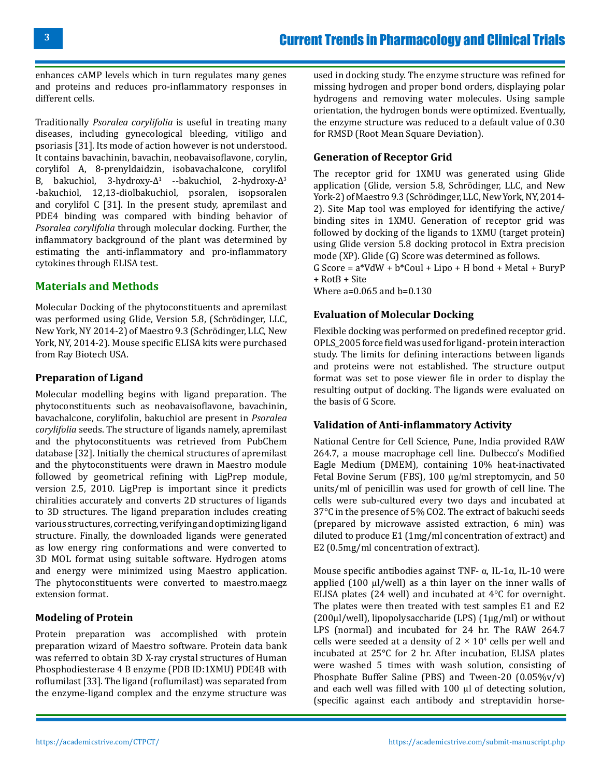enhances cAMP levels which in turn regulates many genes and proteins and reduces pro-inflammatory responses in different cells.

Traditionally *Psoralea corylifolia* is useful in treating many diseases, including gynecological bleeding, vitiligo and psoriasis [31]. Its mode of action however is not understood. It contains bavachinin, bavachin, neobavaisoflavone, corylin, corylifol A, 8-prenyldaidzin, isobavachalcone, corylifol B, bakuchiol, 3-hydroxy- $\Delta^1$  --bakuchiol, 2-hydroxy- $\Delta^3$ -bakuchiol, 12,13-diolbakuchiol, psoralen, isopsoralen and corylifol C [31]. In the present study, apremilast and PDE4 binding was compared with binding behavior of *Psoralea corylifolia* through molecular docking. Further, the inflammatory background of the plant was determined by estimating the anti-inflammatory and pro-inflammatory cytokines through ELISA test.

#### **Materials and Methods**

Molecular Docking of the phytoconstituents and apremilast was performed using Glide, Version 5.8, (Schrödinger, LLC, New York, NY 2014-2) of Maestro 9.3 (Schrödinger, LLC, New York, NY, 2014-2). Mouse specific ELISA kits were purchased from Ray Biotech USA.

#### **Preparation of Ligand**

Molecular modelling begins with ligand preparation. The phytoconstituents such as neobavaisoflavone, bavachinin, bavachalcone, corylifolin, bakuchiol are present in *Psoralea corylifolia* seeds. The structure of ligands namely, apremilast and the phytoconstituents was retrieved from PubChem database [32]. Initially the chemical structures of apremilast and the phytoconstituents were drawn in Maestro module followed by geometrical refining with LigPrep module, version 2.5, 2010. LigPrep is important since it predicts chiralities accurately and converts 2D structures of ligands to 3D structures. The ligand preparation includes creating various structures, correcting, verifying and optimizing ligand structure. Finally, the downloaded ligands were generated as low energy ring conformations and were converted to 3D MOL format using suitable software. Hydrogen atoms and energy were minimized using Maestro application. The phytoconstituents were converted to maestro.maegz extension format.

#### **Modeling of Protein**

Protein preparation was accomplished with protein preparation wizard of Maestro software. Protein data bank was referred to obtain 3D X-ray crystal structures of Human Phosphodiesterase 4 B enzyme (PDB ID:1XMU) PDE4B with roflumilast [33]. The ligand (roflumilast) was separated from the enzyme-ligand complex and the enzyme structure was

used in docking study. The enzyme structure was refined for missing hydrogen and proper bond orders, displaying polar hydrogens and removing water molecules. Using sample orientation, the hydrogen bonds were optimized. Eventually, the enzyme structure was reduced to a default value of 0.30 for RMSD (Root Mean Square Deviation).

#### **Generation of Receptor Grid**

The receptor grid for 1XMU was generated using Glide application (Glide, version 5.8, Schrödinger, LLC, and New York-2) of Maestro 9.3 (Schrödinger, LLC, New York, NY, 2014- 2). Site Map tool was employed for identifying the active/ binding sites in 1XMU. Generation of receptor grid was followed by docking of the ligands to 1XMU (target protein) using Glide version 5.8 docking protocol in Extra precision mode (XP). Glide (G) Score was determined as follows. G Score =  $a*VdW + b*Coul + Lipo + H bond + Metal + BuryP$ + RotB + Site Where a=0.065 and b=0.130

#### **Evaluation of Molecular Docking**

Flexible docking was performed on predefined receptor grid. OPLS\_2005 force field was used for ligand- protein interaction study. The limits for defining interactions between ligands and proteins were not established. The structure output format was set to pose viewer file in order to display the resulting output of docking. The ligands were evaluated on the basis of G Score.

#### **Validation of Anti-inflammatory Activity**

National Centre for Cell Science, Pune, India provided RAW 264.7, a mouse macrophage cell line. Dulbecco's Modified Eagle Medium (DMEM), containing 10% heat-inactivated Fetal Bovine Serum (FBS), 100 µg/ml streptomycin, and 50 units/ml of penicillin was used for growth of cell line. The cells were sub-cultured every two days and incubated at 37°C in the presence of 5% CO2. The extract of bakuchi seeds (prepared by microwave assisted extraction, 6 min) was diluted to produce E1 (1mg/ml concentration of extract) and E2 (0.5mg/ml concentration of extract).

Mouse specific antibodies against TNF-  $\alpha$ , IL-1 $\alpha$ , IL-10 were applied (100 µl/well) as a thin layer on the inner walls of ELISA plates (24 well) and incubated at 4°C for overnight. The plates were then treated with test samples E1 and E2 (200µl/well), lipopolysaccharide (LPS) (1µg/ml) or without LPS (normal) and incubated for 24 hr. The RAW 264.7 cells were seeded at a density of 2  $\times$  10<sup>4</sup> cells per well and incubated at 25°C for 2 hr. After incubation, ELISA plates were washed 5 times with wash solution, consisting of Phosphate Buffer Saline (PBS) and Tween-20 (0.05%v/v) and each well was filled with 100 µl of detecting solution, (specific against each antibody and streptavidin horse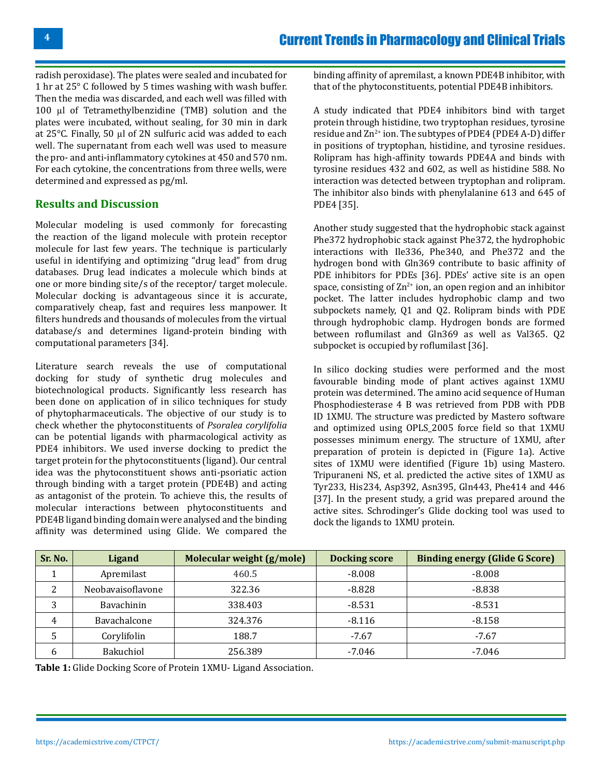radish peroxidase). The plates were sealed and incubated for 1 hr at 25° C followed by 5 times washing with wash buffer. Then the media was discarded, and each well was filled with 100 µl of Tetramethylbenzidine (TMB) solution and the plates were incubated, without sealing, for 30 min in dark at 25°C. Finally, 50 µl of 2N sulfuric acid was added to each well. The supernatant from each well was used to measure the pro- and anti-inflammatory cytokines at 450 and 570 nm. For each cytokine, the concentrations from three wells, were determined and expressed as pg/ml.

#### **Results and Discussion**

Molecular modeling is used commonly for forecasting the reaction of the ligand molecule with protein receptor molecule for last few years. The technique is particularly useful in identifying and optimizing "drug lead" from drug databases. Drug lead indicates a molecule which binds at one or more binding site/s of the receptor/ target molecule. Molecular docking is advantageous since it is accurate, comparatively cheap, fast and requires less manpower. It filters hundreds and thousands of molecules from the virtual database/s and determines ligand-protein binding with computational parameters [34].

Literature search reveals the use of computational docking for study of synthetic drug molecules and biotechnological products. Significantly less research has been done on application of in silico techniques for study of phytopharmaceuticals. The objective of our study is to check whether the phytoconstituents of *Psoralea corylifolia* can be potential ligands with pharmacological activity as PDE4 inhibitors. We used inverse docking to predict the target protein for the phytoconstituents (ligand). Our central idea was the phytoconstituent shows anti-psoriatic action through binding with a target protein (PDE4B) and acting as antagonist of the protein. To achieve this, the results of molecular interactions between phytoconstituents and PDE4B ligand binding domain were analysed and the binding affinity was determined using Glide. We compared the binding affinity of apremilast, a known PDE4B inhibitor, with that of the phytoconstituents, potential PDE4B inhibitors.

A study indicated that PDE4 inhibitors bind with target protein through histidine, two tryptophan residues, tyrosine residue and  $\text{Zn}^{2+}$  ion. The subtypes of PDE4 (PDE4 A-D) differ in positions of tryptophan, histidine, and tyrosine residues. Rolipram has high-affinity towards PDE4A and binds with tyrosine residues 432 and 602, as well as histidine 588. No interaction was detected between tryptophan and rolipram. The inhibitor also binds with phenylalanine 613 and 645 of PDE4 [35].

Another study suggested that the hydrophobic stack against Phe372 hydrophobic stack against Phe372, the hydrophobic interactions with Ile336, Phe340, and Phe372 and the hydrogen bond with Gln369 contribute to basic affinity of PDE inhibitors for PDEs [36]. PDEs' active site is an open space, consisting of  $\text{Zn}^{2+}$  ion, an open region and an inhibitor pocket. The latter includes hydrophobic clamp and two subpockets namely, Q1 and Q2. Rolipram binds with PDE through hydrophobic clamp. Hydrogen bonds are formed between roflumilast and Gln369 as well as Val365. Q2 subpocket is occupied by roflumilast [36].

In silico docking studies were performed and the most favourable binding mode of plant actives against 1XMU protein was determined. The amino acid sequence of Human Phosphodiesterase 4 B was retrieved from PDB with PDB ID 1XMU. The structure was predicted by Mastero software and optimized using OPLS\_2005 force field so that 1XMU possesses minimum energy. The structure of 1XMU, after preparation of protein is depicted in (Figure 1a). Active sites of 1XMU were identified (Figure 1b) using Mastero. Tripuraneni NS, et al. predicted the active sites of 1XMU as Tyr233, His234, Asp392, Asn395, Gln443, Phe414 and 446 [37]. In the present study, a grid was prepared around the active sites. Schrodinger's Glide docking tool was used to dock the ligands to 1XMU protein.

| Sr. No. | Ligand            | Molecular weight (g/mole) | <b>Docking score</b> | <b>Binding energy (Glide G Score)</b> |
|---------|-------------------|---------------------------|----------------------|---------------------------------------|
|         | Apremilast        | 460.5                     | $-8.008$             | $-8.008$                              |
|         | Neobavaisoflavone | 322.36                    | $-8.828$             | $-8.838$                              |
|         | Bavachinin        | 338.403                   | $-8.531$             | $-8.531$                              |
| 4       | Bavachalcone      | 324.376                   | $-8.116$             | $-8.158$                              |
| .5      | Corylifolin       | 188.7                     | $-7.67$              | $-7.67$                               |
| 6       | Bakuchiol         | 256.389                   | $-7.046$             | -7.046                                |

**Table 1:** Glide Docking Score of Protein 1XMU- Ligand Association.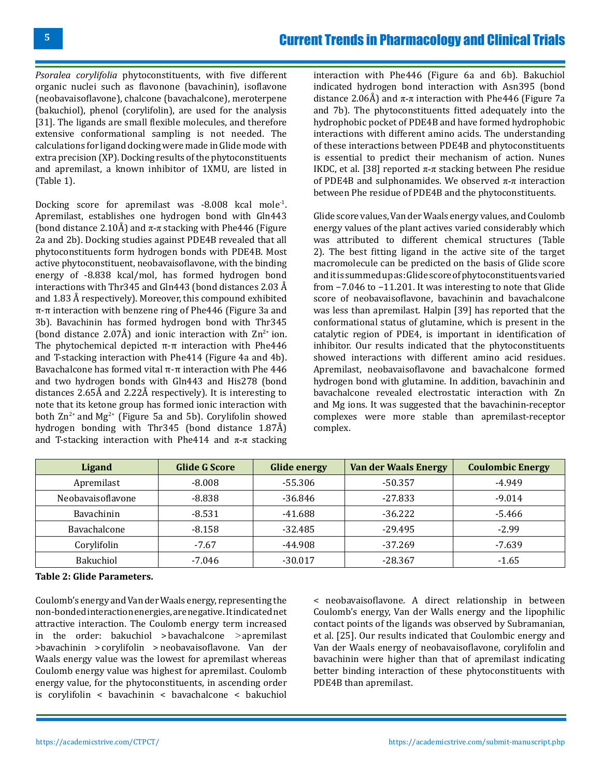*Psoralea corylifolia* phytoconstituents, with five different organic nuclei such as flavonone (bavachinin), isoflavone (neobavaisoflavone), chalcone (bavachalcone), meroterpene (bakuchiol), phenol (corylifolin), are used for the analysis [31]. The ligands are small flexible molecules, and therefore extensive conformational sampling is not needed. The calculations for ligand docking were made in Glide mode with extra precision (XP). Docking results of the phytoconstituents and apremilast, a known inhibitor of 1XMU, are listed in (Table 1).

Docking score for apremilast was -8.008 kcal mole<sup>-1</sup>. Apremilast, establishes one hydrogen bond with Gln443 (bond distance 2.10Å) and  $\pi$ - $\pi$  stacking with Phe446 (Figure 2a and 2b). Docking studies against PDE4B revealed that all phytoconstituents form hydrogen bonds with PDE4B. Most active phytoconstituent, neobavaisoflavone, with the binding energy of -8.838 kcal/mol, has formed hydrogen bond interactions with Thr345 and Gln443 (bond distances 2.03 Å and 1.83 Å respectively). Moreover, this compound exhibited π-π interaction with benzene ring of Phe446 (Figure 3a and 3b). Bavachinin has formed hydrogen bond with Thr345 (bond distance 2.07Å) and ionic interaction with  $\text{Zn}^{2+}$  ion. The phytochemical depicted π-π interaction with Phe446 and T-stacking interaction with Phe414 (Figure 4a and 4b). Bavachalcone has formed vital π-π interaction with Phe 446 and two hydrogen bonds with Gln443 and His278 (bond distances 2.65Å and 2.22Å respectively). It is interesting to note that its ketone group has formed ionic interaction with both  $\text{Zn}^{2+}$  and Mg<sup>2+</sup> (Figure 5a and 5b). Corylifolin showed hydrogen bonding with Thr345 (bond distance 1.87Å) and T-stacking interaction with Phe414 and  $\pi$ - $\pi$  stacking

interaction with Phe446 (Figure 6a and 6b). Bakuchiol indicated hydrogen bond interaction with Asn395 (bond distance 2.06Å) and  $\pi$ - $\pi$  interaction with Phe446 (Figure 7a) and 7b). The phytoconstituents fitted adequately into the hydrophobic pocket of PDE4B and have formed hydrophobic interactions with different amino acids. The understanding of these interactions between PDE4B and phytoconstituents is essential to predict their mechanism of action. Nunes IKDC, et al. [38] reported  $\pi$ - $\pi$  stacking between Phe residue of PDE4B and sulphonamides. We observed  $\pi$ - $\pi$  interaction between Phe residue of PDE4B and the phytoconstituents.

Glide score values, Van der Waals energy values, and Coulomb energy values of the plant actives varied considerably which was attributed to different chemical structures (Table 2). The best fitting ligand in the active site of the target macromolecule can be predicted on the basis of Glide score and it is summed up as: Glide score of phytoconstituents varied from −7.046 to −11.201. It was interesting to note that Glide score of neobavaisoflavone, bavachinin and bavachalcone was less than apremilast. Halpin [39] has reported that the conformational status of glutamine, which is present in the catalytic region of PDE4, is important in identification of inhibitor. Our results indicated that the phytoconstituents showed interactions with different amino acid residues. Apremilast, neobavaisoflavone and bavachalcone formed hydrogen bond with glutamine. In addition, bavachinin and bavachalcone revealed electrostatic interaction with Zn and Mg ions. It was suggested that the bavachinin-receptor complexes were more stable than apremilast-receptor complex.

| Ligand            | <b>Glide G Score</b> | <b>Glide energy</b> | <b>Van der Waals Energy</b> | <b>Coulombic Energy</b> |
|-------------------|----------------------|---------------------|-----------------------------|-------------------------|
| Apremilast        | $-8.008$             | -55.306             | -50.357                     | $-4.949$                |
| Neobavaisoflavone | $-8.838$             | $-36.846$           | $-27.833$                   | $-9.014$                |
| Bavachinin        | $-8.531$             | -41.688             | $-36.222$                   | -5.466                  |
| Bavachalcone      | $-8.158$             | $-32.485$           | $-29.495$                   | $-2.99$                 |
| Corylifolin       | $-7.67$              | -44.908             | $-37.269$                   | $-7.639$                |
| Bakuchiol         | -7.046               | $-30.017$           | $-28.367$                   | $-1.65$                 |

#### **Table 2: Glide Parameters.**

Coulomb's energy and Van der Waals energy, representing the non-bonded interaction energies, are negative. It indicated net attractive interaction. The Coulomb energy term increased in the order: bakuchiol > bavachalcone >apremilast >bavachinin > corylifolin > neobavaisoflavone. Van der Waals energy value was the lowest for apremilast whereas Coulomb energy value was highest for apremilast. Coulomb energy value, for the phytoconstituents, in ascending order is corylifolin < bavachinin < bavachalcone < bakuchiol

< neobavaisoflavone. A direct relationship in between Coulomb's energy, Van der Walls energy and the lipophilic contact points of the ligands was observed by Subramanian, et al. [25]. Our results indicated that Coulombic energy and Van der Waals energy of neobavaisoflavone, corylifolin and bavachinin were higher than that of apremilast indicating better binding interaction of these phytoconstituents with PDE4B than apremilast.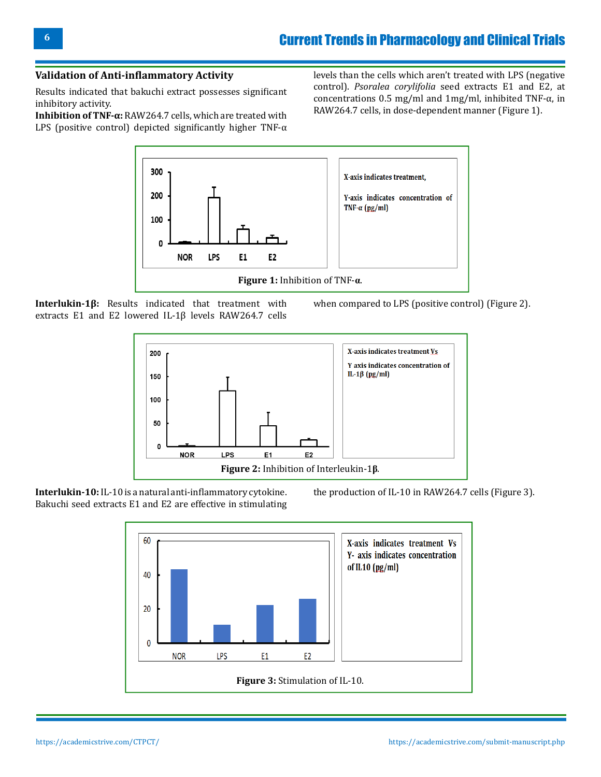#### **Validation of Anti-inflammatory Activity**

Results indicated that bakuchi extract possesses significant inhibitory activity.

**Inhibition of TNF-α:** RAW264.7 cells, which are treated with LPS (positive control) depicted significantly higher TNF- $\alpha$ 

levels than the cells which aren't treated with LPS (negative control). *Psoralea corylifolia* seed extracts E1 and E2, at concentrations 0.5 mg/ml and 1mg/ml, inhibited TNF-α, in RAW264.7 cells, in dose-dependent manner (Figure 1).



**Interlukin-1β:** Results indicated that treatment with extracts E1 and E2 lowered IL-1β levels RAW264.7 cells

when compared to LPS (positive control) (Figure 2).



**Interlukin-10:** IL-10 is a natural anti-inflammatory cytokine. Bakuchi seed extracts E1 and E2 are effective in stimulating

the production of IL-10 in RAW264.7 cells (Figure 3).

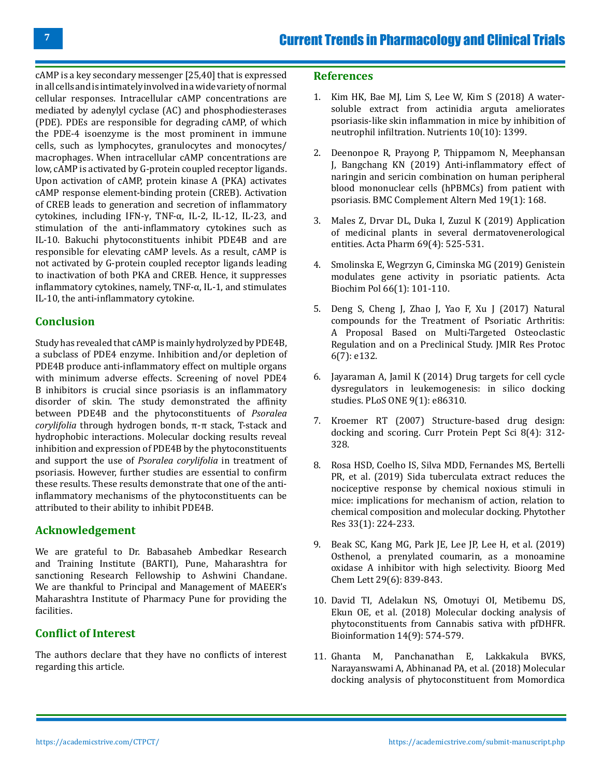cAMP is a key secondary messenger [25,40] that is expressed in all cells and is intimately involved in a wide variety of normal cellular responses. Intracellular cAMP concentrations are mediated by adenylyl cyclase (AC) and phosphodiesterases (PDE). PDEs are responsible for degrading cAMP, of which the PDE-4 isoenzyme is the most prominent in immune cells, such as lymphocytes, granulocytes and monocytes/ macrophages. When intracellular cAMP concentrations are low, cAMP is activated by G-protein coupled receptor ligands. Upon activation of cAMP, protein kinase A (PKA) activates cAMP response element-binding protein (CREB). Activation of CREB leads to generation and secretion of inflammatory cytokines, including IFN-γ, TNF-α, IL-2, IL-12, IL-23, and stimulation of the anti-inflammatory cytokines such as IL-10. Bakuchi phytoconstituents inhibit PDE4B and are responsible for elevating cAMP levels. As a result, cAMP is not activated by G-protein coupled receptor ligands leading to inactivation of both PKA and CREB. Hence, it suppresses inflammatory cytokines, namely, TNF-α, IL-1, and stimulates IL-10, the anti-inflammatory cytokine.

## **Conclusion**

Study has revealed that cAMP is mainly hydrolyzed by PDE4B, a subclass of PDE4 enzyme. Inhibition and/or depletion of PDE4B produce anti-inflammatory effect on multiple organs with minimum adverse effects. Screening of novel PDE4 B inhibitors is crucial since psoriasis is an inflammatory disorder of skin. The study demonstrated the affinity between PDE4B and the phytoconstituents of *Psoralea corylifolia* through hydrogen bonds, π-π stack, T-stack and hydrophobic interactions. Molecular docking results reveal inhibition and expression of PDE4B by the phytoconstituents and support the use of *Psoralea corylifolia* in treatment of psoriasis. However, further studies are essential to confirm these results. These results demonstrate that one of the antiinflammatory mechanisms of the phytoconstituents can be attributed to their ability to inhibit PDE4B.

#### **Acknowledgement**

We are grateful to Dr. Babasaheb Ambedkar Research and Training Institute (BARTI), Pune, Maharashtra for sanctioning Research Fellowship to Ashwini Chandane. We are thankful to Principal and Management of MAEER's Maharashtra Institute of Pharmacy Pune for providing the facilities.

#### **Conflict of Interest**

The authors declare that they have no conflicts of interest regarding this article.

#### **References**

- 1. [Kim HK, Bae MJ, Lim S, Lee W, Kim S \(2018\) A water](https://pubmed.ncbi.nlm.nih.gov/30279326/)[soluble extract from actinidia arguta ameliorates](https://pubmed.ncbi.nlm.nih.gov/30279326/)  [psoriasis-like skin inflammation in mice by inhibition of](https://pubmed.ncbi.nlm.nih.gov/30279326/) [neutrophil infiltration. Nutrients 10\(10\): 1399.](https://pubmed.ncbi.nlm.nih.gov/30279326/)
- 2. [Deenonpoe R, Prayong P, Thippamom N, Meephansan](https://pubmed.ncbi.nlm.nih.gov/31291937/)  [J, Bangchang KN \(2019\) Anti-inflammatory effect of](https://pubmed.ncbi.nlm.nih.gov/31291937/) [naringin and sericin combination on human peripheral](https://pubmed.ncbi.nlm.nih.gov/31291937/)  [blood mononuclear cells \(hPBMCs\) from patient with](https://pubmed.ncbi.nlm.nih.gov/31291937/)  [psoriasis. BMC Complement Altern Med 19\(1\): 168.](https://pubmed.ncbi.nlm.nih.gov/31291937/)
- 3. [Males Z, Drvar DL, Duka I, Zuzul K \(2019\) Application](https://pubmed.ncbi.nlm.nih.gov/31639095/)  [of medicinal plants in several dermatovenerological](https://pubmed.ncbi.nlm.nih.gov/31639095/)  [entities. Acta Pharm 69\(4\): 525-531.](https://pubmed.ncbi.nlm.nih.gov/31639095/)
- 4. [Smolinska E, Wegrzyn G, Ciminska MG \(2019\) Genistein](https://pubmed.ncbi.nlm.nih.gov/30904922/) [modulates gene activity in psoriatic patients. Acta](https://pubmed.ncbi.nlm.nih.gov/30904922/)  [Biochim Pol 66\(1\): 101-110.](https://pubmed.ncbi.nlm.nih.gov/30904922/)
- 5. [Deng S, Cheng J, Zhao J, Yao F, Xu J \(2017\) Natural](https://pubmed.ncbi.nlm.nih.gov/28698171/) [compounds for the Treatment of Psoriatic Arthritis:](https://pubmed.ncbi.nlm.nih.gov/28698171/) [A Proposal Based on Multi-Targeted Osteoclastic](https://pubmed.ncbi.nlm.nih.gov/28698171/) [Regulation and on a Preclinical Study. JMIR Res Protoc](https://pubmed.ncbi.nlm.nih.gov/28698171/) [6\(7\): e132.](https://pubmed.ncbi.nlm.nih.gov/28698171/)
- 6. [Jayaraman A, Jamil K \(2014\) Drug targets for cell cycle](https://pubmed.ncbi.nlm.nih.gov/24454966/)  [dysregulators in leukemogenesis: in silico docking](https://pubmed.ncbi.nlm.nih.gov/24454966/) [studies. PLoS ONE 9\(1\): e86310.](https://pubmed.ncbi.nlm.nih.gov/24454966/)
- 7. [Kroemer RT \(2007\) Structure-based drug design:](https://pubmed.ncbi.nlm.nih.gov/17696866/) [docking and scoring. Curr Protein Pept Sci 8\(4\): 312-](https://pubmed.ncbi.nlm.nih.gov/17696866/) [328.](https://pubmed.ncbi.nlm.nih.gov/17696866/)
- 8. [Rosa HSD, Coelho IS, Silva MDD, Fernandes MS, Bertelli](https://pubmed.ncbi.nlm.nih.gov/30375066/)  [PR, et al. \(2019\) Sida tuberculata extract reduces the](https://pubmed.ncbi.nlm.nih.gov/30375066/)  [nociceptive response by chemical noxious stimuli in](https://pubmed.ncbi.nlm.nih.gov/30375066/) [mice: implications for mechanism of action, relation to](https://pubmed.ncbi.nlm.nih.gov/30375066/) [chemical composition and molecular docking. Phytother](https://pubmed.ncbi.nlm.nih.gov/30375066/) [Res 33\(1\): 224-233.](https://pubmed.ncbi.nlm.nih.gov/30375066/)
- 9. [Beak SC, Kang MG, Park JE, Lee JP, Lee H, et al. \(2019\)](https://pubmed.ncbi.nlm.nih.gov/30686752/) [Osthenol, a prenylated coumarin, as a monoamine](https://pubmed.ncbi.nlm.nih.gov/30686752/)  [oxidase A inhibitor with high selectivity. Bioorg Med](https://pubmed.ncbi.nlm.nih.gov/30686752/)  [Chem Lett 29\(6\): 839-843.](https://pubmed.ncbi.nlm.nih.gov/30686752/)
- 10. [David TI, Adelakun NS, Omotuyi OI, Metibemu DS,](https://pubmed.ncbi.nlm.nih.gov/31223216/) [Ekun OE, et al. \(2018\) Molecular docking analysis of](https://pubmed.ncbi.nlm.nih.gov/31223216/)  [phytoconstituents from Cannabis sativa with pfDHFR.](https://pubmed.ncbi.nlm.nih.gov/31223216/) [Bioinformation 14\(9\): 574-579.](https://pubmed.ncbi.nlm.nih.gov/31223216/)
- 11. [Ghanta M, Panchanathan E, Lakkakula BVKS,](https://pubmed.ncbi.nlm.nih.gov/30262975/)  [Narayanswami A, Abhinanad PA, et al. \(2018\) Molecular](https://pubmed.ncbi.nlm.nih.gov/30262975/)  [docking analysis of phytoconstituent from Momordica](https://pubmed.ncbi.nlm.nih.gov/30262975/)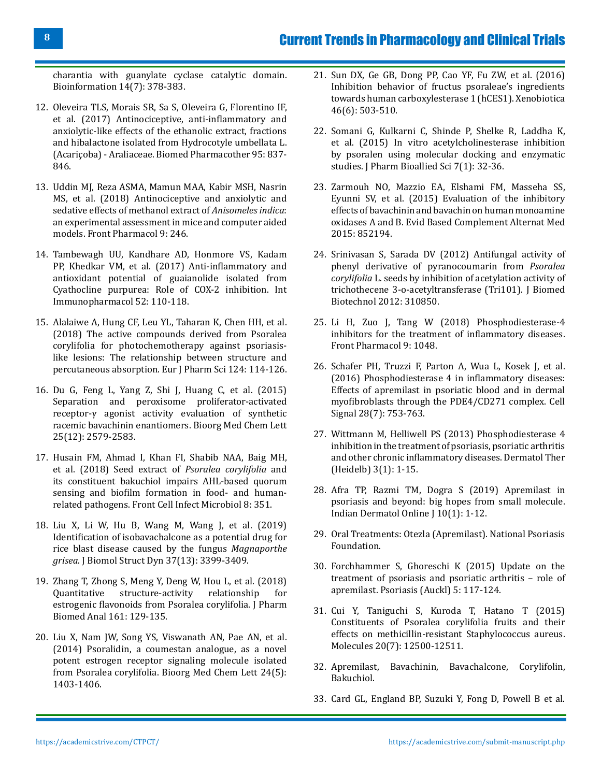## Current Trends in Pharmacology and Clinical Trials

[charantia with guanylate cyclase catalytic domain.](https://pubmed.ncbi.nlm.nih.gov/30262975/) [Bioinformation 14\(7\): 378-383.](https://pubmed.ncbi.nlm.nih.gov/30262975/)

- 12. [Oleveira TLS, Morais SR, Sa S, Oleveira G, Florentino IF,](https://pubmed.ncbi.nlm.nih.gov/28903179/) [et al. \(2017\) Antinociceptive, anti-inflammatory and](https://pubmed.ncbi.nlm.nih.gov/28903179/) [anxiolytic-like effects of the ethanolic extract, fractions](https://pubmed.ncbi.nlm.nih.gov/28903179/) [and hibalactone isolated from Hydrocotyle umbellata L.](https://pubmed.ncbi.nlm.nih.gov/28903179/) (Acariçoba) - Araliaceae. [Biomed Pharmacother 95: 837-](https://pubmed.ncbi.nlm.nih.gov/28903179/) [846.](https://pubmed.ncbi.nlm.nih.gov/28903179/)
- 13. [Uddin MJ, Reza ASMA, Mamun MAA, Kabir MSH, Nasrin](https://pubmed.ncbi.nlm.nih.gov/29706888/) [MS, et al. \(2018\) Antinociceptive and anxiolytic and](https://pubmed.ncbi.nlm.nih.gov/29706888/) [sedative effects of methanol extract of](https://pubmed.ncbi.nlm.nih.gov/29706888/) *Anisomeles indica*: [an experimental assessment in mice and computer aided](https://pubmed.ncbi.nlm.nih.gov/29706888/) models. [Front Pharmacol 9: 246.](https://pubmed.ncbi.nlm.nih.gov/29706888/)
- 14. [Tambewagh UU, Kandhare AD, Honmore VS, Kadam](https://pubmed.ncbi.nlm.nih.gov/28888779/) [PP, Khedkar VM, et al. \(2017\) Anti-inflammatory and](https://pubmed.ncbi.nlm.nih.gov/28888779/) [antioxidant potential of guaianolide isolated from](https://pubmed.ncbi.nlm.nih.gov/28888779/) [Cyathocline purpurea: Role of COX-2 inhibition.](https://pubmed.ncbi.nlm.nih.gov/28888779/) Int [Immunopharmacol 52: 110-118.](https://pubmed.ncbi.nlm.nih.gov/28888779/)
- 15. [Alalaiwe A, Hung CF, Leu YL, Taharan K, Chen HH, et al.](https://pubmed.ncbi.nlm.nih.gov/30153523/) [\(2018\) The active compounds derived from Psoralea](https://pubmed.ncbi.nlm.nih.gov/30153523/) [corylifolia for photochemotherapy against psoriasis](https://pubmed.ncbi.nlm.nih.gov/30153523/)[like lesions: The relationship between structure and](https://pubmed.ncbi.nlm.nih.gov/30153523/) [percutaneous absorption. Eur J Pharm Sci 124: 114-126.](https://pubmed.ncbi.nlm.nih.gov/30153523/)
- 16. [Du G, Feng L, Yang Z, Shi J, Huang C, et al. \(2015\)](https://pubmed.ncbi.nlm.nih.gov/25978962/) [Separation and peroxisome proliferator-activated](https://pubmed.ncbi.nlm.nih.gov/25978962/) [receptor-γ agonist activity evaluation of synthetic](https://pubmed.ncbi.nlm.nih.gov/25978962/) [racemic bavachinin enantiomers. Bioorg Med Chem Lett](https://pubmed.ncbi.nlm.nih.gov/25978962/) [25\(12\): 2579-2583.](https://pubmed.ncbi.nlm.nih.gov/25978962/)
- 17. [Husain FM, Ahmad I, Khan FI, Shabib NAA, Baig MH,](https://pubmed.ncbi.nlm.nih.gov/30410871/) [et al. \(2018\) Seed extract of](https://pubmed.ncbi.nlm.nih.gov/30410871/) *Psoralea corylifolia* and [its constituent bakuchiol impairs AHL-based quorum](https://pubmed.ncbi.nlm.nih.gov/30410871/) [sensing and biofilm formation in food- and human](https://pubmed.ncbi.nlm.nih.gov/30410871/)related pathogens. [Front Cell Infect Microbiol 8: 351.](https://pubmed.ncbi.nlm.nih.gov/30410871/)
- 18. [Liu X, Li W, Hu B, Wang M, Wang J, et al. \(2019\)](https://pubmed.ncbi.nlm.nih.gov/30132740/) [Identification of isobavachalcone as a potential drug for](https://pubmed.ncbi.nlm.nih.gov/30132740/) [rice blast disease caused by the fungus](https://pubmed.ncbi.nlm.nih.gov/30132740/) *Magnaporthe grisea*. [J Biomol Struct Dyn 37\(13\): 3399-3409.](https://pubmed.ncbi.nlm.nih.gov/30132740/)
- 19. [Zhang T, Zhong S, Meng Y, Deng W, Hou L, et al. \(2018\)](https://pubmed.ncbi.nlm.nih.gov/30149188/) [Quantitative structure-activity relationship for](https://pubmed.ncbi.nlm.nih.gov/30149188/) [estrogenic flavonoids from Psoralea corylifolia.](https://pubmed.ncbi.nlm.nih.gov/30149188/) J Pharm [Biomed Anal 161: 129-135.](https://pubmed.ncbi.nlm.nih.gov/30149188/)
- 20. [Liu X, Nam JW, Song YS, Viswanath AN, Pae AN, et al.](https://pubmed.ncbi.nlm.nih.gov/24507928/) [\(2014\) Psoralidin, a coumestan analogue, as a novel](https://pubmed.ncbi.nlm.nih.gov/24507928/) [potent estrogen receptor signaling molecule isolated](https://pubmed.ncbi.nlm.nih.gov/24507928/) from Psoralea corylifolia. [Bioorg Med Chem Lett 24\(5\):](https://pubmed.ncbi.nlm.nih.gov/24507928/) [1403-1406.](https://pubmed.ncbi.nlm.nih.gov/24507928/)
- 21. [Sun DX, Ge GB, Dong PP, Cao YF, Fu ZW, et al. \(2016\)](https://pubmed.ncbi.nlm.nih.gov/26560012/) [Inhibition behavior of fructus psoraleae's ingredients](https://pubmed.ncbi.nlm.nih.gov/26560012/) [towards human carboxylesterase 1 \(hCES1\).](https://pubmed.ncbi.nlm.nih.gov/26560012/) Xenobiotica [46\(6\): 503-510.](https://pubmed.ncbi.nlm.nih.gov/26560012/)
- 22. [Somani G, Kulkarni C, Shinde P, Shelke R, Laddha K,](https://pubmed.ncbi.nlm.nih.gov/25709334/) [et al. \(2015\) In vitro acetylcholinesterase inhibition](https://pubmed.ncbi.nlm.nih.gov/25709334/) [by psoralen using molecular docking and enzymatic](https://pubmed.ncbi.nlm.nih.gov/25709334/) [studies. J Pharm Bioallied Sci 7\(1\): 32-36.](https://pubmed.ncbi.nlm.nih.gov/25709334/)
- 23. [Zarmouh NO, Mazzio EA, Elshami FM, Masseha SS,](https://pubmed.ncbi.nlm.nih.gov/26557867/)  [Eyunni SV, et al. \(2015\) Evaluation of the inhibitory](https://pubmed.ncbi.nlm.nih.gov/26557867/) [effects of bavachinin and bavachin on human monoamine](https://pubmed.ncbi.nlm.nih.gov/26557867/) oxidases A and B. [Evid Based Complement Alternat Med](https://pubmed.ncbi.nlm.nih.gov/26557867/) [2015: 852194.](https://pubmed.ncbi.nlm.nih.gov/26557867/)
- 24. [Srinivasan S, Sarada DV \(2012\) Antifungal activity of](https://pubmed.ncbi.nlm.nih.gov/22778547/) [phenyl derivative of pyranocoumarin from](https://pubmed.ncbi.nlm.nih.gov/22778547/) *Psoralea corylifolia* [L. seeds by inhibition of acetylation activity of](https://pubmed.ncbi.nlm.nih.gov/22778547/) [trichothecene 3-o-acetyltransferase \(Tri101\). J Biomed](https://pubmed.ncbi.nlm.nih.gov/22778547/) [Biotechnol 2012: 310850.](https://pubmed.ncbi.nlm.nih.gov/22778547/)
- 25. [Li H, Zuo J, Tang W \(2018\) Phosphodiesterase-4](https://pubmed.ncbi.nlm.nih.gov/30386231/) [inhibitors for the treatment of inflammatory diseases.](https://pubmed.ncbi.nlm.nih.gov/30386231/) [Front Pharmacol 9: 1048.](https://pubmed.ncbi.nlm.nih.gov/30386231/)
- 26. [Schafer PH, Truzzi F, Parton A, Wua L, Kosek J, et al.](https://pubmed.ncbi.nlm.nih.gov/26806620/)  [\(2016\) Phosphodiesterase 4 in inflammatory diseases:](https://pubmed.ncbi.nlm.nih.gov/26806620/) [Effects of apremilast in psoriatic blood and in dermal](https://pubmed.ncbi.nlm.nih.gov/26806620/) [myofibroblasts through the PDE4/CD271 complex. Cell](https://pubmed.ncbi.nlm.nih.gov/26806620/) [Signal 28\(7\): 753-763.](https://pubmed.ncbi.nlm.nih.gov/26806620/)
- 27. [Wittmann M, Helliwell PS \(2013\) Phosphodiesterase 4](https://pubmed.ncbi.nlm.nih.gov/23888251/) [inhibition in the treatment of psoriasis, psoriatic arthritis](https://pubmed.ncbi.nlm.nih.gov/23888251/) [and other chronic inflammatory diseases. Dermatol Ther](https://pubmed.ncbi.nlm.nih.gov/23888251/) [\(Heidelb\) 3\(1\): 1-15.](https://pubmed.ncbi.nlm.nih.gov/23888251/)
- 28. [Afra TP, Razmi TM, Dogra S \(2019\) Apremilast in](https://pubmed.ncbi.nlm.nih.gov/30775293/)  [psoriasis and beyond: big hopes from small molecule.](https://pubmed.ncbi.nlm.nih.gov/30775293/) [Indian Dermatol Online J 10\(1\): 1-12.](https://pubmed.ncbi.nlm.nih.gov/30775293/)
- 29. [Oral Treatments: Otezla \(Apremilast\). National Psoriasis](https://www.psoriasis.org/oral-treatments/) [Foundation.](https://www.psoriasis.org/oral-treatments/)
- 30. [Forchhammer S, Ghoreschi K \(2015\) Update on the](https://pubmed.ncbi.nlm.nih.gov/29387588/) [treatment of psoriasis and psoriatic arthritis – role of](https://pubmed.ncbi.nlm.nih.gov/29387588/) [apremilast. Psoriasis \(Auckl\) 5: 117-124.](https://pubmed.ncbi.nlm.nih.gov/29387588/)
- 31. [Cui Y, Taniguchi S, Kuroda T, Hatano T \(2015\)](https://pubmed.ncbi.nlm.nih.gov/26184136/) [Constituents of Psoralea corylifolia fruits and their](https://pubmed.ncbi.nlm.nih.gov/26184136/) [effects on methicillin-resistant Staphylococcus aureus.](https://pubmed.ncbi.nlm.nih.gov/26184136/) [Molecules 20\(7\): 12500-12511.](https://pubmed.ncbi.nlm.nih.gov/26184136/)
- 32. Apremilast, Bavachinin, Bavachalcone, Corylifolin, Bakuchiol.
- 33. [Card GL, England BP, Suzuki Y, Fong D, Powell B et al.](https://www.rcsb.org/structure/1xmu)